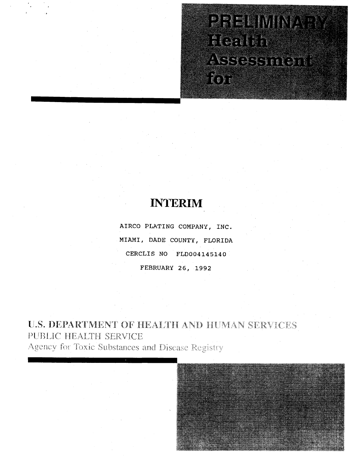# **PIPERINANTAL ACCEPTE** ASSESSMENT

# **INTERIM**

**AIRCO PLATING COMPANY, INC. MIAMI, DADE COUNTY, FLORIDA CERCLIS NO FLD004145140 FEBRUARY 26, 1992** 

U.S. DEPARTMENT OF HEALTH AND HUMAN SERVICES PUBLIC HEALTH SERVICE Agency for Toxic Substances and Disease Registry

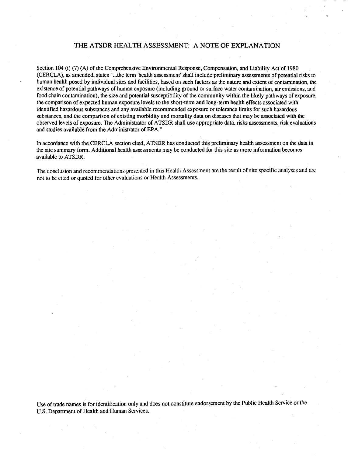# THE ATSDR HEALTH ASSESSMENT: A NOTE OF EXPLANATION

Section 104 (i) (7) (A) of the Comprehensive Environmental Response, Compensation, and Liability Act of 1980 (CERCLA), as amended, states" ... the tenn 'health assessment' shall include preliminary assessments of potential risks to human health posed by individual sites and facilities, based on such factors as the nature and extent of contamination, the existence of potential pathways of human exposure (including ground or surface water contamination, air emissions, and food chain contamination), the size and potential susceptibility of the community within the likely pathways of exposure, the comparison of expected human exposure levels to the short-tenn and long-term health effects associated with identified hazardous substances and any available recommended exposure or tolerance limits for such hazardous substances, and the comparison of existing morbidity and mortality data on diseases that may be associated with the observed levels of exposure. The Administrator of ATSDR shall use appropriate data, risks assessments, risk evaluations and studies available from the Administrator of EPA."

In accordance with the CERCLA section cited, ATSDR has conducted this preliminary health assessment on the data in the site summary fonn. Additional health assessments may be conducted for this site as more information becomes available to ATSDR.

The conclusion and recommendations presented in this Health Assessment are the result of site specific analyses and are not to be cited or quoted for other evaluations or Health Assessments.

Use of trade names is for identification only and does not constitute endorsement by the Public Health Service or the U.S. Department of Health and Human Services.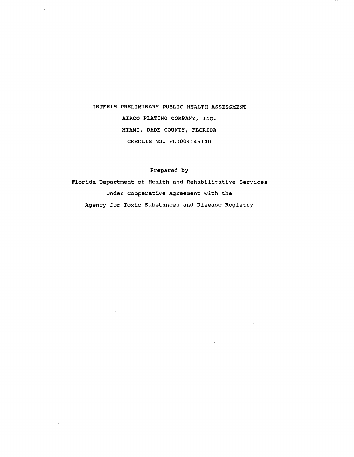# INTERIM PRELIMINARY PUBLIC HEALTH ASSESSMENT AIRCO PLATING COMPANY, INC. MIAMI, DADE COUNTY, FLORIDA CERCLIS NO. FLD004145140

 $\label{eq:2.1} \mathcal{L} = \frac{1}{2} \sum_{i=1}^n \frac{1}{2} \sum_{j=1}^n \frac{1}{2} \sum_{j=1}^n \frac{1}{2} \sum_{j=1}^n \frac{1}{2} \sum_{j=1}^n \frac{1}{2} \sum_{j=1}^n \frac{1}{2} \sum_{j=1}^n \frac{1}{2} \sum_{j=1}^n \frac{1}{2} \sum_{j=1}^n \frac{1}{2} \sum_{j=1}^n \frac{1}{2} \sum_{j=1}^n \frac{1}{2} \sum_{j=1}^n \frac{1}{2} \sum_{j=$ 

# Prepared by

Florida Department of Health and Rehabilitative Services Under Cooperative Agreement with the Agency for Toxic Substances and Disease Registry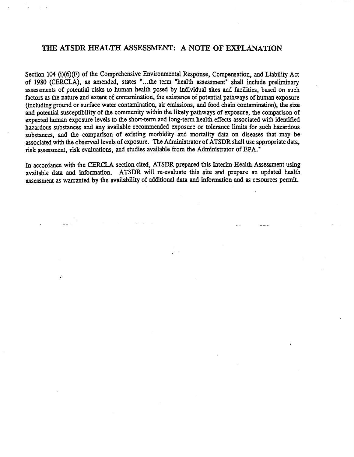# THE ATSDR HEALTH ASSESSMENT: A NOTE OF EXPLANATION

Section 104 (i)(6)(F) of the Comprehensive Environmental Response, Compensation, and Liability Act of 1980 (CERCLA), as amended, states " ... the term "health assessment" shall include preliminary assessments of potential risks to human health posed by individual sites and facilities, based on such factors as the nature and extent of contamination, the existence of potential pathways of human exposure (mcluding ground or surface water contamination, air emissions, and food chain contamination), the size and potential susceptibility of the community within the likely pathways of exposure, the comparison of expected human exposure levels to the short-term and long-term health effects associated with identified hazardous substances and any available recommended exposure or tolerance limits for such hazardous substances, and the comparison of existing morbidity and mortality data on diseases that may be associated with the observed levels of exposure. The Administrator of ATSDR shall use appropriate data, risk assessment, risk evaluations, and studies available from the Administrator of EPA."

In accordance with the CERCLA section cited, ATSDR prepared this Interim Health Assessment using available data and information. ATSDR will re-evaluate this site and prepare an updated health assessment as warranted by the availability of additional data and information and as resources permit.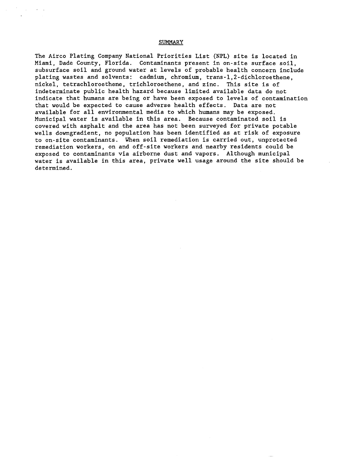# SUMMARY

The Airco Plating Company National Priorities List (NPL) site is located in Miami, Dade County, Florida. Contaminants present in on-site surface soil, subsurface soil and ground water at levels of probable health concern include plating wastes and solvents: cadmium, chromium, trans-I,2-dichloroethene, nickel, tetrachloroethene, trichloroethene, and zinc. This site is of indeterminate public health hazard because limited available data do not indicate that humans are being or have been exposed to levels of contamination that would be expected to cause adverse health effects. Data are not available for all environmental media to which humans may be exposed. Municipal water is available in this area. Because contaminated soil is covered with asphalt and the area has not been surveyed for private potable wells downgradient, no population has been identified as at risk of exposure to on-site contaminants. When soil remediation is carried out, unprotected remediation workers, on and off-site workers and nearby residents could be exposed to contaminants via airborne dust and vapors. Although municipal water is available in this area, private well usage around the site should be determined.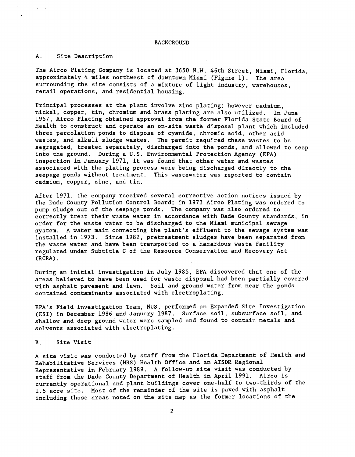# A. Site Description

 $\sim$ 

The Airco Plating Company is located at 3650 N.W. 46th Street, Miami, Florida, approximately 4 miles northwest of downtown Miami (Figure 1). The area surrounding the site consists of a mixture of light industry, warehouses, retail operations, and residential housing.

Principal processes at the plant involve zinc plating; however cadmium, nickel, copper, tin, chromium and brass plating are also utilized. In June 1957, Airco Plating obtained approval from the former Florida State Board of Health to construct and operate an on-site waste disposal plant which included three percolation ponds to dispose of cyanide, chromic acid, other acid wastes, and alkali sludge wastes. The permit required these wastes to be segregated, treated separately, discharged into the ponds, and allowed to seep into the ground. During a U.S. Environmental Protection Agency (EPA) inspection in January 1971, it was found that other water and wastes associated with the plating process were being discharged directly to the seepage ponds without treatment. This wastewater was reported to contain cadmium, copper, zinc, and tin.

After 1971, the company received several corrective action notices issued by the Dade County Pollution Control Board; in 1973 Airco Plating was ordered to pump sludge out of the seepage ponds. The company was also ordered to correctly treat their waste water in accordance with Dade County standards, in order for the waste water to be discharged to the Miami municipal sewage system. A water main connecting the plant's effluent to the sewage system was installed in 1973. Since 1982, pretreatment sludges have been separated from the waste water and have been transported to a hazardous waste facility regulated under Subtitle C of the Resource Conservation and Recovery Act (RCRA).

During an initial investigation in July 1985, EPA discovered that one of the areas believed to have been used for waste disposal had been partially covered with asphalt pavement and lawn. Soil and ground water from near the ponds contained contaminants associated with electroplating.

EPA's Field Investigation Team, NUS, performed an Expanded Site Investigation (ESI) in December 1986 and January 1987. Surface soil, subsurface soil, and shallow and deep ground water were sampled and found to contain metals and solvents associated with electroplating.

#### B. Site Visit

A site visit was conducted by staff from the Florida Department of Health and Rehabilitative Services (HRS) Health Office and an ATSDR Regional Representative in February 1989. A follow-up site visit was conducted by staff from the Dade County Department of Health in April 1991. Airco is currently operational and plant buildings cover one-half to two-thirds of the 1.5 acre site. Most of the remainder of the site is paved with asphalt including those areas noted on the site map as the former locations of the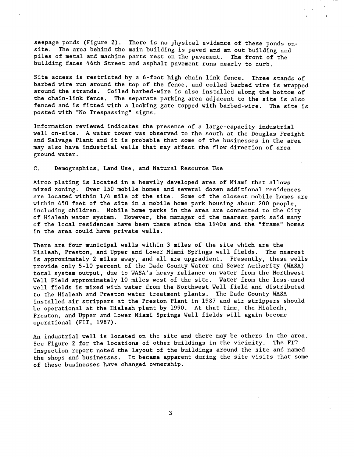seepage ponds (Figure 2). There is no physical evidence of these ponds onsite. The area behind the main building is paved and an out building and piles of metal and machine parts rest on the pavement. The front of the building faces 46th Street and asphalt pavement runs nearly to curb.

Site access is restricted by a 6-foot high chain-link fence. Three stands of barbed wire run around the top of the fence, and coiled barbed wire is wrapped around the strands. Coiled barbed-wire is also installed along the bottom of the chain-link fence. The separate parking area adjacent to the site is also fenced and is fitted with a locking gate topped with barbed-wire. The site is posted with "No Trespassing" signs.

Information reviewed indicates the presence of a large-capacity industrial well on-site. A water tower was observed to the south at the Douglas Freight and Salvage Plant and it is probable that some of the businesses in the area may also have industrial wells that may affect the flow direction of area ground water.

# C. Demographics, Land Use, and Natural Resource Use

Airco plating is located in a heavily developed area of Miami that allows mixed zoning. Over 150 mobile homes and several dozen additional residences are located within 1/4 mile of the site. Some of the closest mobile homes are within 450 feet of the site in a mobile home park housing about 200 people, including children. Mobile home parks in the area are connected to the City of Hialeah water system. However, the manager of the nearest park said many of the local residences have been there since the 1940s and the "frame" homes in the area could have private wells.

There are four municipal wells within 3 miles of the site which are the Hialeah, Preston, and Upper and Lower Miami Springs well fields. The nearest is approximately 2 miles away, and all are upgradient. Presently, these wells provide only 5-10 percent of the Dade County Water and Sewer Authority (WASA) total system output, due to WASA's heavy reliance on water from the Northwest Well Field approximately 10 miles west of the site. Water from the less-used well fields is mixed with water from the Northwest Well field and distributed to the Hialeah and Preston water treatment plants. The Dade County WASA installed air strippers at the Preston Plant in 1987 and air strippers should be operational at the Hialeah plant by 1990. At that time, the Hialeah, Preston, and Upper and Lower Miami Springs Well fields will again become operational (FIT, 1987).

An industrial well is located on the site and there may be others in the area. See Figure 2 for the locations of other buildings in the vicinity. The FIT inspection report noted the layout of the buildings around the site and named the shops and businesses. It became apparent during the site visits that some of these businesses have changed ownership.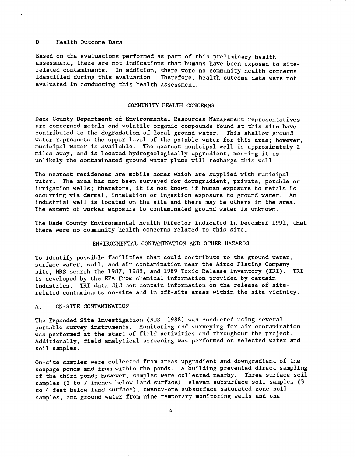# D. Health Outcome Data

Based on the evaluations performed as part of this preliminary health assessment, there are not indications that humans have been exposed to siterelated contaminants. In addition, there were no community health concerns identified during this evaluation. Therefore, health outcome data were not evaluated in conducting this health assessment.

# COMMUNITY HEALTH CONCERNS

Dade County Department of Environmental Resources Management representatives are concerned metals and volatile organic compounds found at this site have contributed to the degradation of local ground water. This shallow ground water represents the upper level of the potable water for this area; however, municipal water is available. The nearest municipal well is approximately 2 miles away, and is located hydrogeologically upgradient, meaning it is unlikely the contaminated ground water plume will recharge this well.

The nearest residences are mobile homes which are supplied with municipal water. The area has not been surveyed for downgradient, private, potable or irrigation wells; therefore, it is not known if human exposure to metals is<br>occurring via dermal, inhalation or ingestion exposure to ground water. An occurring via dermal, inhalation or ingestion exposure to ground water. industrial well is located on the site and there may be others in the area. The extent of worker exposure to contaminated ground water is unknown.

The Dade County Environmental Health Director indicated in December 1991, that there were no community health concerns related to this site.

#### ENVIRONMENTAL CONTAMINATION AND OTHER HAZARDS

To identify possible facilities that could contribute to the ground water, surface water, soil, and air contamination near the Airco Plating Company site, HRS search the 1987, 1988, and 1989 Toxic Release Inventory (TRI). TRI is developed by the EPA from chemical information provided by certain industries. TRI data did not contain information on the release of siterelated contaminants on-site and in off-site areas within the site vicinity.

# A. ON-SITE CONTAMINATION

The Expanded Site Investigation (NUS, 1988) was conducted using several portable survey instruments. Monitoring and surveying for air contamination was performed at the start of field activities and throughout the project. Additionally, field analytical screening was performed on selected water and soil samples.

On-site samples were collected from areas upgradient and downgradient of the seepage ponds and from within the ponds. A building prevented direct sampling of the third pond; however, samples were collected nearby. Three surface soil samples (2 to 7 inches below land surface), eleven subsurface soil samples (3 to 4 feet below land surface), twenty-one subsurface saturated zone soil samples, and ground water from nine temporary monitoring wells and one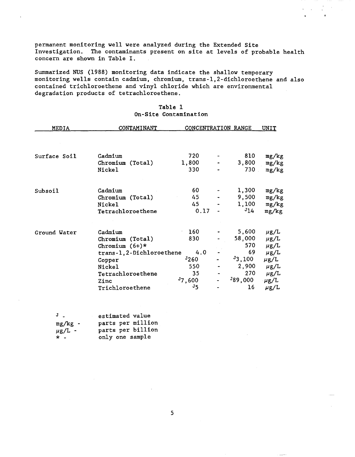permanent monitoring well were analyzed during the Extended Site Investigation. The contaminants present on site at levels of probable health concern are shown in Table I.

Summarized NUS (1988) monitoring data indicate the shallow temporary monitoring wells contain cadmium, chromium, trans-l,2-dichloroethene and also contained trichloroethene and vinyl chloride which are environmental degradation products of tetrachloroethene.

| MEDIA        | CONTAMINANT              | <b>CONCENTRATION RANGE</b> |         | <u>UNIT</u> |
|--------------|--------------------------|----------------------------|---------|-------------|
|              |                          |                            |         |             |
| Surface Soil | Cadmium                  | 720                        | 810     | mg/kg       |
|              | Chromium (Total)         | 1,800                      | 3,800   | mg/kg       |
|              | Nickel                   | 330                        | 730     | mg/kg       |
| Subsoil      | Cadmium                  | 60                         | 1,300   | mg/kg       |
|              | Chromium (Total)         | 45                         | 9,500   | mg/kg       |
|              | Nickel                   | 45                         | 1,100   | mg/kg       |
|              | Tetrachloroethene        | 0.17                       | J14     | mg/kg       |
| Ground Water | Cadmium                  | 160                        | 5,600   | $\mu$ g/L   |
|              | Chromium (Total)         | 830                        | 58,000  | $\mu$ g/L   |
|              | Chromium $(6+)$ *        |                            | 570     | $\mu$ g/L   |
|              | trans-1,2-Dichloroethene | 4.0                        | 69      | $\mu$ g/L   |
|              | Copper                   | J260                       | 3,100   | $\mu$ g/L   |
|              | Nickel                   | 550                        | 2,900   | $\mu$ g/L   |
|              | Tetrachloroethene        | 35                         | 270     | $\mu$ g/L   |
|              | Zinc                     | 37,600                     | 389,000 | $\mu$ g/L   |
|              | Trichloroethene          | J5                         | 16      | $\mu$ g/L   |
|              |                          |                            |         |             |

# Table 1 On-Site Contamination

| $J_{\perp}$    | estimated value   |
|----------------|-------------------|
| $mg/kg -$      | parts per million |
| $\mu$ g/L -    | parts per billion |
| $\star$ $\sim$ | only one sample   |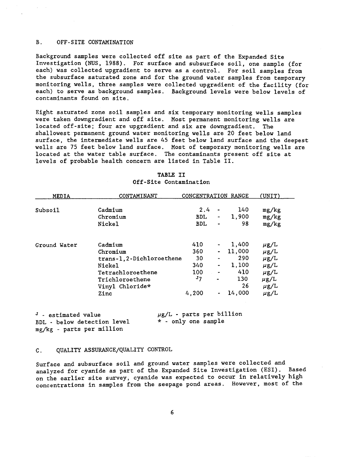# B. OFF-SITE CONTAMINATION

Background samples were collected off site as part of the Expanded Site Investigation (NUS, 1988). For surface and subsurface soil, one sample (for each) was collected upgradient to serve as a control. For soil samples from the subsurface saturated zone and for the ground water samples from temporary monitoring wells, three samples were collected upgradient of the facility (for each) to serve as background samples. Background levels were below levels of contaminants found on site.

Eight saturated zone soil samples and six temporary monitoring wells samples were taken downgradient and off site. Most permanent monitoring wells are located off-site; four are upgradient and six are downgradient. The shallowest permanent ground water monitoring wells are 20 feet below land surface, the intermediate wells are 45 feet below land surface and the deepest wells are 75 feet below land surface. Most of temporary monitoring wells are located at the water table surface. The contaminants present off site at levels of probable health concern are listed in Table II.

| MEDIA        | CONTAMINANT                                                                                                                   | CONCENTRATION RANGE                                         |                                                                                                  |                                                               | (UNIT)                                                                                               |
|--------------|-------------------------------------------------------------------------------------------------------------------------------|-------------------------------------------------------------|--------------------------------------------------------------------------------------------------|---------------------------------------------------------------|------------------------------------------------------------------------------------------------------|
| Subsoil      | Cadmium<br>Chromium<br>Nickel                                                                                                 | 2.4<br><b>BDL</b><br><b>BDL</b>                             | $\overline{\phantom{a}}$<br>$\sim$<br>$\overline{\phantom{a}}$                                   | 140<br>1,900<br>98                                            | mg/kg<br>mg/kg<br>mg/kg                                                                              |
| Ground Water | Cadmium<br>Chromium<br>trans-1, 2-Dichloroethene<br>Nickel<br>Tetrachloroethene<br>Trichloroethene<br>Vinyl Chloride*<br>Zinc | 410<br>360 L<br>30<br>340<br>100<br>J <sub>7</sub><br>4,200 | $\blacksquare$<br>$\qquad \qquad \blacksquare$<br>$\blacksquare$<br>$\qquad \qquad \blacksquare$ | 1,400<br>11,000<br>290<br>1,100<br>410<br>130<br>26<br>14,000 | $\mu$ g/L<br>$\mu$ g/L<br>$\mu$ g/L<br>$\mu$ g/L<br>$\mu$ g/L<br>$\mu$ g/L<br>$\mu$ g/L<br>$\mu$ g/L |

| TABLE II |                        |
|----------|------------------------|
|          | Off-Site Contamination |

 $J$  - estimated value BDL - below detection level mg/kg - parts per million

 $\mu$ g/L - parts per billion \* - only one sample

# C. QUALITY ASSURANCE/QUALITY CONTROL

Surface and subsurface soil and ground water samples were collected and analyzed for cyanide as part of the. Expanded Site Investigation (ESI). Based on the earlier site survey, cyanide was expected to occur in relatively high concentrations in samples from the seepage pond areas. However, most of the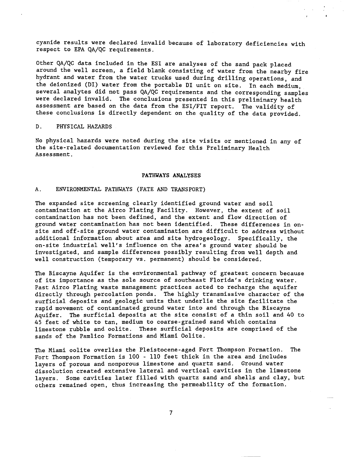cyanide results were declared invalid because of laboratory deficiencies with respect to EPA QA/QC requirements.

Other QA/QC data included in the ESI are analyses of the sand pack placed around the well screen, a field blank consisting of water from the nearby fire hydrant and water from the water trucks used during drilling operations, and the deionized (DI) water from the portable DI unit on site. In each medium, several analytes did not pass QA/QC requirements and the corresponding samples were declared invalid. The conclusions presented in this preliminary health assessment are based on the data from the ESI/FIT report. The validity of these conclusions is directly dependent on the quality of the data provided.

#### D. PHYSICAL HAZARDS

No physical hazards were noted during the site visits or mentioned in any of the site-related documentation reviewed for this Preliminary Health Assessment.

#### PATHWAYS ANALYSES

# A. ENVIRONMENTAL PATHWAYS (FATE AND TRANSPORT)

The expanded site screening clearly identified ground water and soil contamination at the Airco Plating Facility. However, the extent of soil contamination has not been defined, and the extent and flow direction of ground water contamination has not been identified. These differences in onsite and off-site ground water contamination are difficult to address without additional information about area and site hydrogeology. Specifically, the on-site industrial well's influence on the area's ground water should be investigated, and sample differences possibly resulting from well depth and well construction (temporary vs. permanent) should be considered.

The Biscayne Aquifer is the environmental pathway of greatest concern because of its importance as the sole source of southeast Florida's drinking water. Past Airco Plating waste management practices acted to recharge the aquifer directly through percolation ponds. The highly transmissive character of the surficial deposits and geologic units that underlie the site facilitate the rapid movement of contaminated ground water into and through the Biscayne Aquifer. The surficial deposits at the site consist of a thin soil and 40 to 45 feet of white to tan, medium to coarse-grained sand which contains limestone rubble and oolite. These surficial deposits are comprised of the sands of the Pamlico Formations and Miami Oolite.

The Miami oolite overlies the Pleistocene-aged Fort Thompson Formation. The Fort Thompson Formation is 100 - 110 feet thick in the area and includes layers of porous and nonporous limestone and quartz sand. Ground water dissolution created extensive lateral and vertical cavities in the limestone layers. Some cavities later filled with quartz sand and shells and clay, but others remained open, thus increasing the permeability of the formation.

7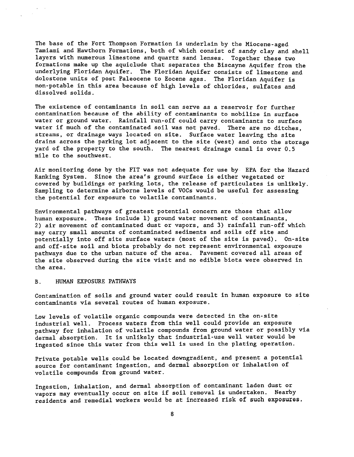The base of the Fort Thompson Formation is underlain by the Miocene-aged Tamiami and Hawthorn Formations, both of which consist of sandy clay and shell layers with numerous limestone and quartz sand lenses. Together these two formations make up the aquiclude that separates the Biscayne Aquifer from the underlying Floridan Aquifer. The Floridan Aquifer consists of limestone and dolostone units of post Paleocene to Eocene ages. The Floridan Aquifer is non-potable in this area because of high levels of chlorides, sulfates and dissolved solids.

The existence of contaminants in soil can serve as a reservoir for further contamination because of the ability of contaminants to mobilize in surface water or ground water. Rainfall run-off could carry contaminants to surface water if much of the contaminated soil was not paved. There are no ditches, streams, or drainage ways located on site. Surface water leaving the site drains across the parking lot adjacent to the site (west) and onto the storage yard of the property to the south. The nearest drainage canal is over 0.5 mile to the southwest.

Air monitoring done by the FIT was not adequate for use by EPA for the Hazard Ranking System. Since the area's ground surface is either vegetated or covered by buildings or parking lots, the release of particulates is unlikely. Sampling to determine airborne levels of VOCs would be useful for assessing the potential for exposure to volatile contaminants.

Environmental pathways of greatest potential concern are those that allow human exposure. These include 1) ground water movement of contaminants, 2) air movement of contaminated dust or vapors, and 3) rainfall run-off which may carry small amounts of contaminated sediments and soils off site and potentially into off site surface waters (most of the site is paved). On-site and off-site soil and biota probably do not represent environmental exposure pathways due to the urban nature of the area. Pavement covered all areas of the site observed during the site visit and no edible biota were observed in the area.

# B. HUMAN EXPOSURE PATHWAYS

Contamination of soils and ground water could result in human exposure to site contaminants via several routes of human exposure.

Low levels of volatile organic compounds were detected in the on-site industrial well. Process waters from this well could provide an exposure pathway for inhalation of volatile compounds from ground water or possibly via dermal absorption. It is unlikely that industrial-use well water would be ingested since this water from this well is used in the plating operation.

Private potable wells could be located downgradient, and present a potential source for contaminant ingestion, and dermal absorption or inhalation of volatile compounds from ground water.

Ingestion, inhalation, and dermal absorption of contaminant laden dust or vapors may eventually occur on site if soil removal is undertaken. Nearby residents and remedial workers would be at increased risk of such exposures.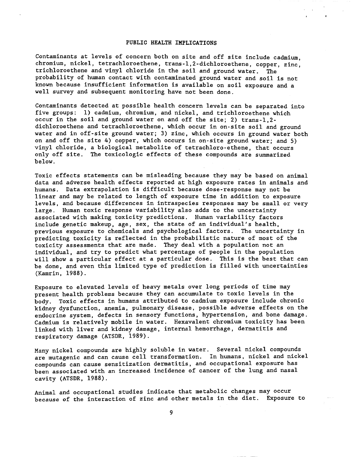## PUBLIC HEALTH IMPLICATIONS

Contaminants at levels of concern both on site and off site include cadmium, chromium, nickel, tetrachloroethene, trans-l,2-dichloroethene, copper, zinc, trichloroethene and vinyl chloride in the soil and ground water. The probability of human contact with contaminated ground water and soil is not known because insufficient information is available on soil exposure and a well survey and subsequent monitoring have not been done.

Contaminants detected at possible health concern levels can be separated into five groups: 1) cadmium, chromium, and nickel, and trichloroethene which occur in the soil and ground water on and off the site; 2) trans-l,2 dichloroethene and tetrachloroethene, which occur in on-site soil and ground water and in off-site ground water; 3) zinc, which occurs in ground water both on and off the site 4) copper, which occurs in on-site ground water; and 5) vinyl chloride, a biological metabolite of tetrachloro-ethene, that occurs only off site. The toxicologic effects of these compounds are summarized below.

Toxic effects statements can be misleading because they may be based on animal data and adverse health effects reported at high exposure rates in animals and humans. Data extrapolation is difficult because dose-response may not be linear and may be related to length of exposure time in addition to exposure levels, and because differences in intraspecies responses may be small or very large. Human toxic response variability also adds to the uncertainty associated with making toxicity predictions. Human variability factors include genetic makeup, age, sex, the state of an individual's health, previous exposure to chemicals and psychological factors. The uncertainty in predicting toxicity is reflected in the probabilistic nature of most of the toxicity assessments that are made. They deal with a population not an individual, and try to predict what percentage of people in the population will show a particular effect at a particular dose. This is the best that can be done, and even this limited type of prediction is filled with uncertainties (Kamrin, 1988).

Exposure to elevated levels of heavy metals over long periods of time may present health problems because they can accumulate to toxic levels in the body. Toxic effects in humans attributed to cadmium exposure include chronic kidney dysfunction, anemia, pulmonary disease, possible adverse effects on the endocrine system, defects in sensory functions, hypertension, and bone damage. Cadmium is relatively mobile in water. Hexavalent chromium toxicity has been linked with liver and kidney damage, internal hemorrhage, dermatitis and respiratory damage (ATSDR, 1989).

Many nickel compounds are highly soluble in water. Several nickel compounds are mutagenic and can cause cell transformation. In humans, nickel and nickel compounds can cause sensitization dermatitis, and occupational exposure has been associated with an increased incidence of cancer of the lung and nasal cavity (ATSDR, 1988).

Animal and occupational studies indicate that metabolic changes may occur because of the interaction of zinc and other metals in the diet. Exposure to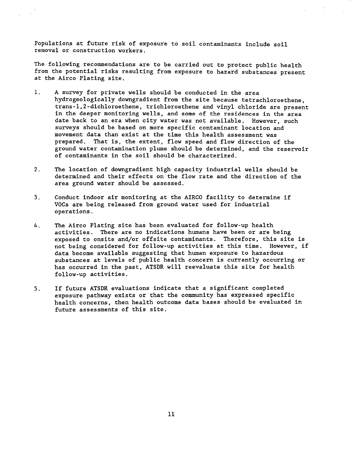Populations at future risk of exposure to soil contaminants include soil removal or construction workers.

The following recommendations are to be carried out to protect public health from the potential risks resulting from exposure to hazard substances present at the Airco Plating site.

- 1. A survey for private wells should be conducted in the area hydrogeologically downgradient from the site because tetrachloroethene, trans-l,2-dichloroethene, trichloroethene and vinyl chloride are present in the deeper monitoring wells, and some of the residences in the area date back to an era when city water was not available. However, such surveys should be based on more specific contaminant location and movement data than exist at the time this health assessment was<br>prepared. That is, the extent, flow speed and flow direction of That is, the extent, flow speed and flow direction of the ground water contamination plume should be determined, and the reservoir of contaminants in the soil should be characterized.
- 2. The location of downgradient high capacity industrial wells should be determined and their effects on the flow rate and the direction of the area ground water should be assessed.
- 3. Conduct indoor air monitoring at the AIRCO facility to determine if VOCs are being released from ground water used for industrial operations.
- 4. The Airco Plating site has been evaluated for follow-up health activities. There are no indications humans have been or are being exposed to onsite and/or offsite contaminants. Therefore, this site is not being considered for follow-up activities at this time. However, if data become available suggesting that human exposure to hazardous substances at levels of public health concern is currently occurring or has occurred in the past, ATSDR will reevaluate this site for health follow-up activities.
- 5. If future ATSDR evaluations indicate that a significant completed exposure pathway exists or that the community has expressed specific health concerns, then health outcome data bases should be evaluated in future assessments of this site.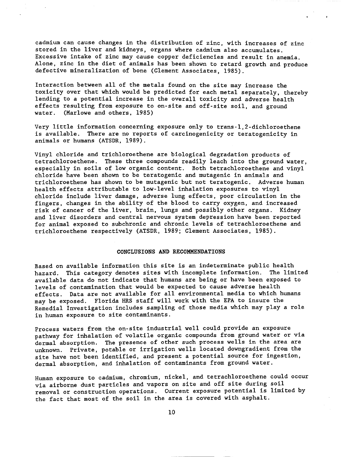cadmium can cause changes in the distribution of zinc, with increases of zinc stored in the liver and kidneys, organs where cadmium also accumulates. Excessive intake of zinc may cause copper deficiencies and result in anemia. Alone, zinc in the diet of animals has been shown to retard growth and produce defective mineralization of bone (Clement Associates, 1985).

Interaction between all of the metals found on the site may increase the toxicity over that which would be predicted for each metal separately, thereby lending to a potential increase in the overall toxicity and adverse health effects resulting from exposure to on-site and off-site soil, and ground water. (Marlowe and others, 1985)

Very little information concerning exposure only to trans-l,2-dichloroethene is available. There are no reports of carcinogenicity or teratogenicity in animals or humans (ATSDR, 1989).

Vinyl chloride and trichloroethene are biological degradation products of tetrachloroethene. These three compounds readily leach into the ground water, especially in soils of low organic content. Both tetrachloroethene and vinyl chloride have been shown to be teratogenic and mutagenic in animals and trichloroethene has shown to be mutagenic but not teratogenic. Adverse human health effects attributable to low-level inhalation exposures to vinyl chloride include liver damage, adverse lung effects, poor circulation in the fingers, changes in the ability of the blood to carry oxygen, and increased risk of cancer of the liver, brain, lungs and possibly other organs. Kidney and liver disorders and central nervous system depression have been reported for animal exposed to subchronic and chronic levels of tetrachloroethene and trichloroethene respectively (ATSDR, 1989; Clement Associates, 1985).

## CONCLUSIONS AND RECOMMENDATIONS

Based on available information this site is an indeterminate public health hazard. This category denotes sites with incomplete information. The limited available data do not indicate that humans are being or have been exposed to levels of contamination that would be expected to cause adverse health effects. Data are not available for all environmental media to which humans may be exposed. Florida HRS staff will work with the EPA to insure the Remedial Investigation includes sampling of those media which may play a role in human exposure to site contaminants.

Process waters from the on-site industrial well could provide an exposure pathway for inhalation of volatile organic compounds from ground water or via dermal absorption. The presence of other such process wells in the area are unknown. Private, potable or irrigation wells located downgradient from the site have not been identified, and present a potential source for ingestion, dermal absorption, and inhalation of contaminants from ground water.

Human exposure to cadmium, chromium, nickel, and tetrachloroethene could occur via airborne dust particles and vapors on site and off site during soil removal or construction operations. Current exposure potential is limited by the fact that most of the soil in the area is covered with asphalt.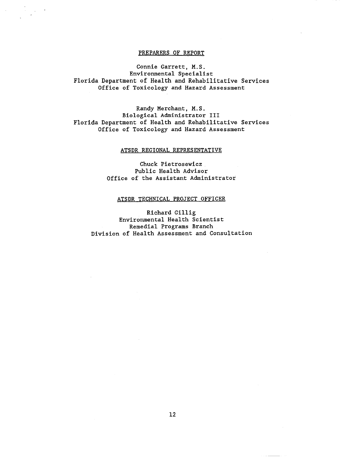# PREPARERS OF REPORT

Connie Garrett, M.S. Environmental Specialist Florida Department of Health and Rehabilitative Services Office of Toxicology and Hazard Assessment

Randy Merchant, M.S. Biological Administrator III Florida Department of Health and Rehabilitative Services Office of Toxicology and Hazard Assessment

# ATSDR REGIONAL REPRESENTATIVE

Chuck Pietrosewicz Public Health Advisor Office of the Assistant Administrator

# ATSDR TECHNICAL PROJECT OFFICER

Richard Gillig Environmental Health Scientist Remedial Programs Branch Division of Health Assessment and Consultation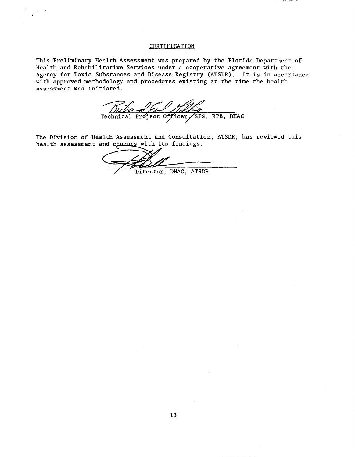# **CERTIFICATION**

This Preliminary Health Assessment was prepared by the Florida Department of Health and Rehabilitative Services under a cooperative agreement with the Agency for Toxic Substances and Disease Registry (ATSDR). It is in accordance with approved methodology and procedures existing at the time the health assessment was initiated.

Dickand Gul Helling

The Division of Health Assessment and Consultation, ATSDR, has reviewed this health assessment and concurs with its findings.

Director, DHAC, ATSDR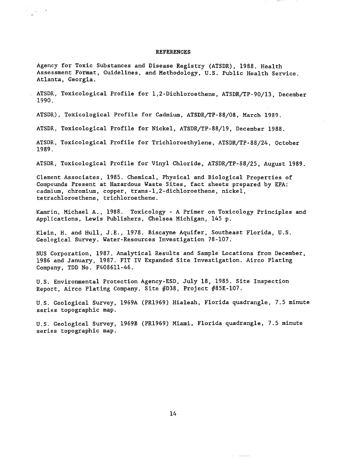#### REFERENCES

Agency for Toxic Substances and Disease Registry (ATSDR), 1988. Health Assessment Format, Guidelines, and Methodology, U.S. Public Health Service. Atlanta, Georgia.

ATSDR, Toxicological Profile for l,2-Dichloroethene, ATSDR/TP-90/l3, December 1990.

ATSDR), Toxicological Profile for Cadmium, ATSDR/TP-88/08, March 1989.

 $\label{eq:2.1} \frac{1}{2} \int_{\mathbb{R}^3} \frac{1}{\sqrt{2}} \, \mathrm{d} x \, \mathrm{d} x \, \mathrm{d} x \, \mathrm{d} x \, \mathrm{d} x \, \mathrm{d} x \, \mathrm{d} x \, \mathrm{d} x \, \mathrm{d} x \, \mathrm{d} x \, \mathrm{d} x \, \mathrm{d} x \, \mathrm{d} x \, \mathrm{d} x \, \mathrm{d} x \, \mathrm{d} x \, \mathrm{d} x \, \mathrm{d} x \, \mathrm{d} x \, \mathrm{d} x \, \mathrm{d} x \, \mathrm{d} x \, \mathrm{d$ 

ATSDR, Toxicological Profile for Nickel, ATSDR/TP-88/l9, December 1988.

ATSDR, Toxicological Profile for Trichloroethylene, ATSDR/TP-88/24, October 1989.

ATSDR, Toxicological Profile for Vinyl Chloride, ATSDR/TP-88/25, August 1989.

Clement Associates, 1985. Chemical, Physical and Biological Properties of Compounds Present at Hazardous Waste Sites, fact sheets prepared by EPA: cadmium, chromium, copper, trans-l,2-dichloroethene, nickel, tetrachloroethene, trichloroethene.

Kamrin, Michael A., 1988. Toxicology - A Primer on Toxicology Principles and Applications, Lewis Publishers, Chelsea Michigan, 145 p.

Klein, H. and Hull, J.E., 1978. Biscayne Aquifer, Southeast Florida, U.S. Geological Survey. Water-Resources Investigation 78-107.

NUS Corporation, 1987. Analytical Results and Sample Locations from December, 1986 and January, 1987. FIT IV Expanded Site Investigation. Airco Plating Company, TDD No. F4086ll-46.

U.S. Environmental Protection Agency-ESD, July 18, 1985. Site Inspection Report, Airco Plating Company. Site #D38, Project #85E-l07.

U.S. Geological Survey, 1969A (PR1969) Hialeah, Florida quadrangle, 7.5 minute series topographic map.

U.S. Geological Survey, 1969B (PR1969) Miami, Florida quadrangle, 7.5 minute series topographic map.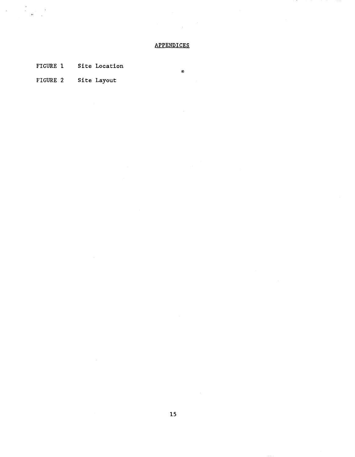# **APPENDICES**

®

FIGURE 1 Site Location

FIGURE 2 Site Layout

 $\label{eq:2.1} \begin{array}{l} \mathcal{A} \\ \mathcal{A} \\ \mathcal{A} \\ \mathcal{A} \\ \mathcal{A} \\ \mathcal{A} \\ \mathcal{A} \\ \mathcal{A} \\ \mathcal{A} \\ \mathcal{A} \\ \mathcal{A} \\ \mathcal{A} \\ \mathcal{A} \\ \mathcal{A} \\ \mathcal{A} \\ \mathcal{A} \\ \mathcal{A} \\ \mathcal{A} \\ \mathcal{A} \\ \mathcal{A} \\ \mathcal{A} \\ \mathcal{A} \\ \mathcal{A} \\ \mathcal{A} \\ \mathcal{A} \\ \mathcal{A} \\ \mathcal{A} \\ \mathcal{A} \\ \mathcal{A} \\ \$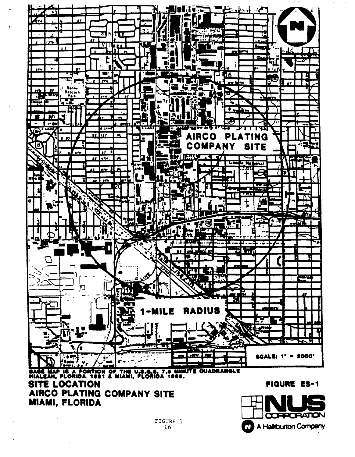



**FIGURE ES-1**